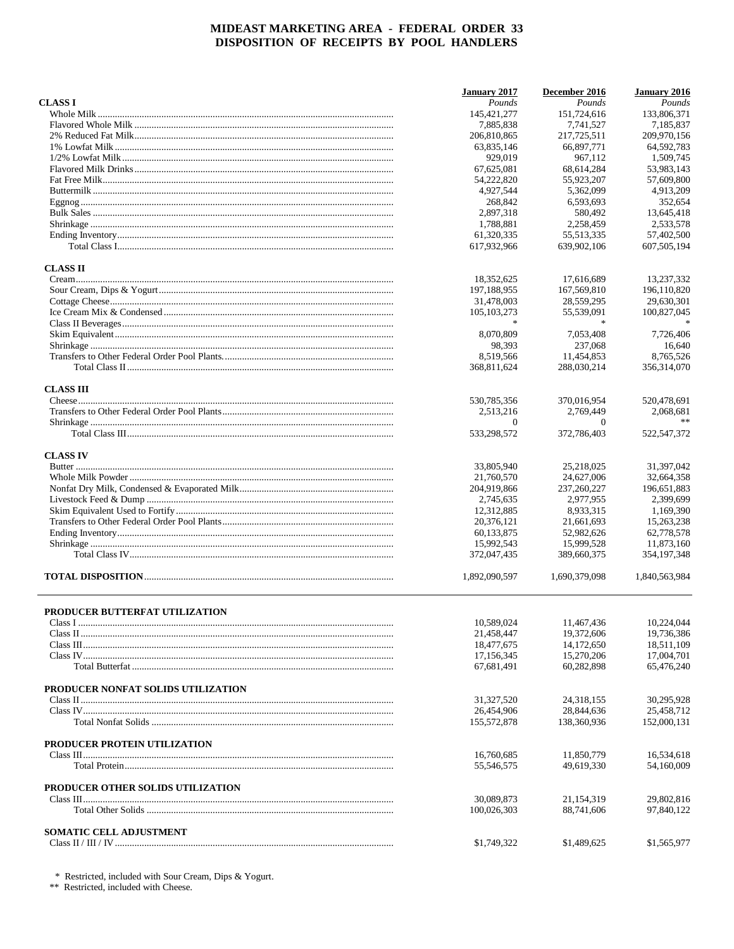|                                    | January 2017              | December 2016              | <b>January 2016</b>      |
|------------------------------------|---------------------------|----------------------------|--------------------------|
| <b>CLASS I</b>                     | Pounds                    | Pounds                     | Pounds                   |
|                                    | 145, 421, 277             | 151,724,616                | 133,806,371              |
|                                    | 7,885,838                 | 7,741,527                  | 7.185.837                |
|                                    | 206,810,865               | 217,725,511                | 209,970,156              |
|                                    | 63,835,146                | 66,897,771                 | 64,592,783               |
|                                    | 929,019                   | 967,112                    | 1,509,745                |
|                                    | 67,625,081                | 68,614,284                 | 53,983,143               |
|                                    | 54,222,820                | 55,923,207                 | 57,609,800               |
|                                    | 4,927,544                 | 5,362,099                  | 4,913,209                |
|                                    | 268,842                   | 6.593.693                  | 352,654                  |
|                                    | 2,897,318                 | 580,492                    | 13,645,418               |
|                                    | 1,788,881                 | 2,258,459                  | 2,533,578                |
|                                    | 61,320,335                | 55,513,335                 | 57,402,500               |
|                                    | 617,932,966               | 639,902,106                | 607,505,194              |
| <b>CLASS II</b>                    |                           |                            |                          |
|                                    | 18,352,625                | 17,616,689                 | 13,237,332               |
|                                    | 197,188,955               | 167,569,810                | 196,110,820              |
|                                    | 31,478,003                | 28,559,295                 | 29,630,301               |
|                                    | 105, 103, 273             | 55,539,091                 | 100,827,045              |
|                                    |                           | $\ast$                     |                          |
|                                    | 8,070,809                 | 7,053,408                  | 7.726.406                |
|                                    | 98,393                    | 237,068                    | 16,640                   |
|                                    | 8.519.566                 | 11,454,853                 | 8.765.526                |
|                                    | 368,811,624               | 288,030,214                | 356,314,070              |
|                                    |                           |                            |                          |
| <b>CLASS III</b>                   | 530,785,356               | 370,016,954                | 520,478,691              |
|                                    | 2,513,216                 | 2,769,449                  | 2,068,681                |
|                                    | $\mathbf{0}$              | $\theta$                   | **                       |
|                                    | 533,298,572               | 372,786,403                | 522,547,372              |
| <b>CLASS IV</b>                    |                           |                            |                          |
|                                    | 33,805,940                | 25,218,025                 | 31,397,042               |
|                                    | 21,760,570                | 24,627,006                 | 32,664,358               |
|                                    | 204,919,866               | 237, 260, 227              | 196,651,883              |
|                                    | 2,745,635                 | 2,977,955                  | 2,399,699                |
|                                    | 12,312,885                | 8,933,315                  | 1,169,390                |
|                                    | 20,376,121                | 21,661,693                 | 15,263,238               |
|                                    | 60,133,875                | 52,982,626                 | 62,778,578               |
|                                    | 15,992,543                | 15,999,528                 | 11,873,160               |
|                                    | 372,047,435               | 389,660,375                | 354, 197, 348            |
|                                    | 1,892,090,597             | 1,690,379,098              | 1,840,563,984            |
|                                    |                           |                            |                          |
| PRODUCER BUTTERFAT UTILIZATION     |                           |                            |                          |
|                                    | 10,589,024                | 11,467,436                 | 10,224,044               |
|                                    | 21,458,447                | 19,372,606                 | 19,736,386               |
|                                    | 18,477,675                | 14,172,650                 | 18,511,109               |
|                                    | 17,156,345                | 15,270,206                 | 17,004,701               |
|                                    | 67,681,491                | 60,282,898                 | 65,476,240               |
| PRODUCER NONFAT SOLIDS UTILIZATION |                           |                            |                          |
|                                    | 31,327,520                | 24,318,155                 | 30,295,928               |
|                                    | 26,454,906                | 28,844,636                 | 25,458,712               |
|                                    | 155,572,878               | 138,360,936                | 152,000,131              |
|                                    |                           |                            |                          |
| PRODUCER PROTEIN UTILIZATION       | 16,760,685                | 11,850,779                 | 16,534,618               |
|                                    | 55,546,575                | 49.619.330                 | 54,160,009               |
|                                    |                           |                            |                          |
| PRODUCER OTHER SOLIDS UTILIZATION  |                           |                            |                          |
|                                    | 30,089,873<br>100,026,303 | 21, 154, 319<br>88,741,606 | 29,802,816<br>97,840,122 |
|                                    |                           |                            |                          |
| <b>SOMATIC CELL ADJUSTMENT</b>     |                           |                            |                          |
|                                    | \$1,749,322               | \$1,489,625                | \$1,565,977              |

 $\,^*$  Restricted, included with Sour Cream, Dips & Yogurt.  $\,^*$  Restricted, included with Cheese.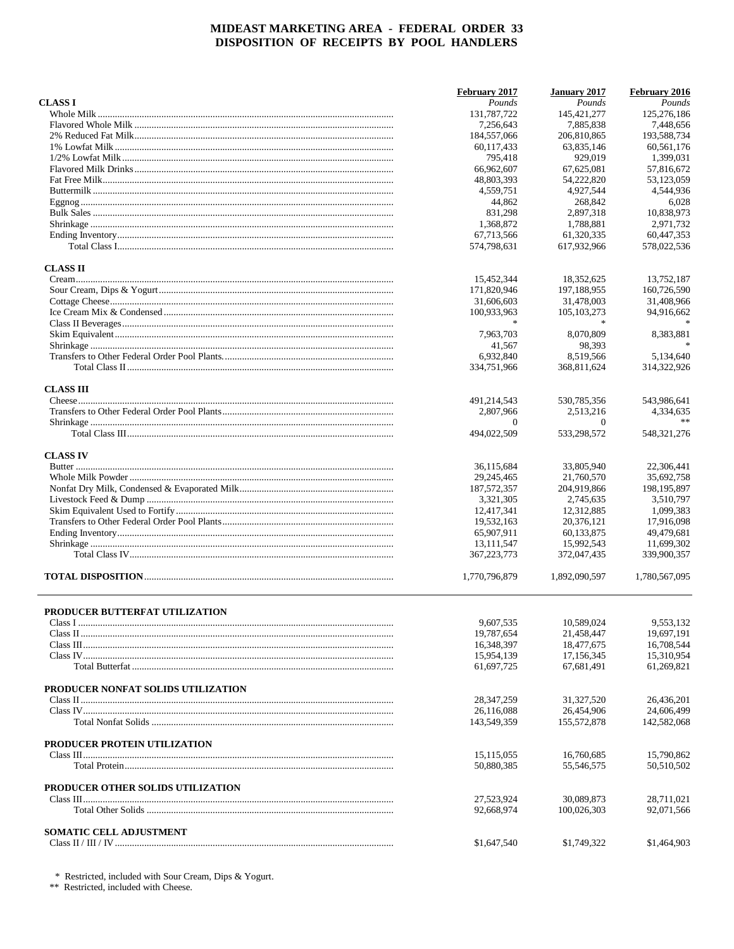|                                    | February 2017 | January 2017  | February 2016 |
|------------------------------------|---------------|---------------|---------------|
| <b>CLASS I</b>                     | Pounds        | Pounds        | Pounds        |
|                                    | 131.787.722   | 145.421.277   | 125,276,186   |
|                                    | 7,256,643     | 7,885,838     | 7,448,656     |
|                                    | 184,557,066   | 206,810,865   | 193,588,734   |
|                                    | 60.117.433    | 63,835,146    | 60,561,176    |
|                                    | 795,418       | 929,019       | 1.399.031     |
|                                    | 66.962.607    | 67,625,081    | 57.816.672    |
|                                    | 48,803,393    | 54,222,820    | 53,123,059    |
|                                    | 4,559,751     | 4,927,544     | 4,544,936     |
|                                    | 44,862        | 268,842       | 6,028         |
|                                    | 831,298       | 2,897,318     | 10,838,973    |
|                                    | 1,368,872     | 1,788,881     | 2,971,732     |
|                                    | 67,713,566    | 61.320.335    | 60,447,353    |
|                                    | 574,798,631   | 617,932,966   | 578,022,536   |
| <b>CLASS II</b>                    |               |               |               |
|                                    | 15,452,344    | 18,352,625    | 13,752,187    |
|                                    | 171,820,946   | 197,188,955   | 160,726,590   |
|                                    | 31,606,603    | 31,478,003    | 31,408,966    |
|                                    | 100,933,963   | 105, 103, 273 | 94,916,662    |
|                                    |               |               |               |
|                                    | 7,963,703     | 8,070,809     | 8,383,881     |
|                                    | 41,567        | 98,393        |               |
|                                    | 6,932,840     | 8,519,566     | 5,134,640     |
|                                    | 334,751,966   | 368,811,624   | 314,322,926   |
| <b>CLASS III</b>                   |               |               |               |
|                                    | 491,214,543   | 530,785,356   | 543,986,641   |
|                                    | 2,807,966     | 2,513,216     | 4,334,635     |
|                                    | $\Omega$      | $\Omega$      |               |
|                                    | 494,022,509   | 533,298,572   | 548, 321, 276 |
| <b>CLASS IV</b>                    |               |               |               |
|                                    | 36,115,684    | 33,805,940    | 22,306,441    |
|                                    | 29, 245, 465  | 21,760,570    | 35,692,758    |
|                                    | 187, 572, 357 | 204,919,866   | 198,195,897   |
|                                    | 3,321,305     | 2,745,635     | 3,510,797     |
|                                    | 12,417,341    | 12,312,885    | 1,099,383     |
|                                    | 19,532,163    | 20,376,121    | 17,916,098    |
|                                    | 65,907,911    | 60,133,875    | 49,479,681    |
|                                    | 13,111,547    | 15,992,543    | 11,699,302    |
|                                    | 367, 223, 773 | 372,047,435   | 339,900,357   |
|                                    | 1,770,796,879 | 1.892.090.597 | 1,780,567,095 |
| PRODUCER BUTTERFAT UTILIZATION     |               |               |               |
|                                    | 9,607,535     | 10,589,024    | 9,553,132     |
|                                    | 19,787,654    | 21,458,447    | 19,697,191    |
|                                    | 16,348,397    | 18,477,675    | 16,708,544    |
|                                    | 15,954,139    | 17,156,345    | 15,310,954    |
|                                    | 61,697,725    | 67,681,491    | 61,269,821    |
| PRODUCER NONFAT SOLIDS UTILIZATION |               |               |               |
|                                    | 28, 347, 259  | 31, 327, 520  | 26,436,201    |
|                                    | 26,116,088    | 26,454,906    | 24,606,499    |
|                                    | 143,549,359   | 155,572,878   | 142,582,068   |
| PRODUCER PROTEIN UTILIZATION       |               |               |               |
|                                    | 15, 115, 055  | 16,760,685    | 15,790,862    |
|                                    | 50,880,385    | 55,546,575    | 50,510,502    |
| PRODUCER OTHER SOLIDS UTILIZATION  |               |               |               |
|                                    | 27,523,924    | 30,089,873    | 28,711,021    |
|                                    | 92,668,974    | 100,026,303   | 92,071,566    |
| <b>SOMATIC CELL ADJUSTMENT</b>     |               |               |               |
|                                    | \$1,647,540   | \$1,749,322   | \$1,464,903   |

 $\,^*$  Restricted, included with Sour Cream, Dips & Yogurt.  $\,^*$  Restricted, included with Cheese.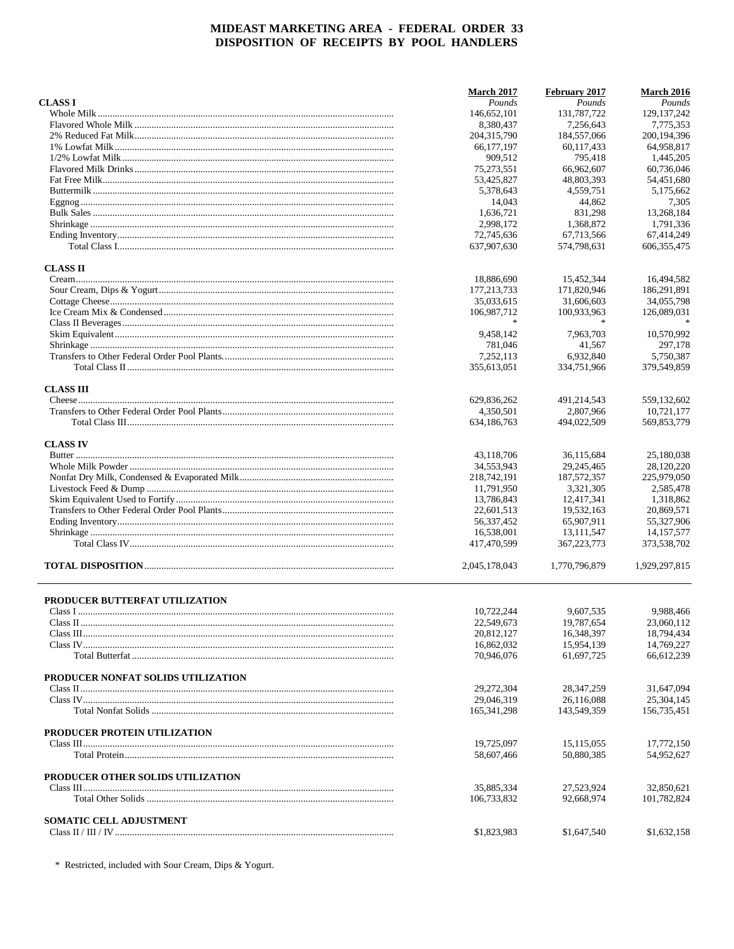|                                    | <b>March 2017</b>        | February 2017            | <b>March 2016</b>        |
|------------------------------------|--------------------------|--------------------------|--------------------------|
| <b>CLASS I</b>                     | Pounds                   | Pounds                   | Pounds                   |
|                                    | 146,652,101              | 131,787,722              | 129, 137, 242            |
|                                    | 8,380,437                | 7,256,643                | 7.775.353                |
|                                    | 204,315,790              | 184,557,066              | 200,194,396              |
|                                    | 66, 177, 197             | 60.117.433               | 64,958,817               |
|                                    | 909,512                  | 795,418                  | 1,445,205                |
|                                    | 75,273,551               | 66,962,607               | 60,736,046               |
|                                    | 53,425,827               | 48,803,393               | 54,451,680               |
|                                    | 5,378,643                | 4,559,751                | 5,175,662                |
|                                    | 14,043                   | 44,862                   | 7,305                    |
|                                    | 1,636,721                | 831,298                  | 13,268,184               |
|                                    | 2,998,172                | 1,368,872                | 1,791,336                |
|                                    | 72,745,636               | 67,713,566               | 67,414,249               |
|                                    | 637,907,630              | 574,798,631              | 606, 355, 475            |
| <b>CLASS II</b>                    |                          |                          |                          |
|                                    | 18,886,690               | 15,452,344               | 16,494,582               |
|                                    | 177, 213, 733            | 171,820,946              | 186,291,891              |
|                                    | 35,033,615               | 31,606,603               | 34,055,798               |
|                                    | 106,987,712              | 100,933,963              | 126,089,031              |
|                                    |                          |                          |                          |
|                                    | 9,458,142                | 7,963,703                | 10,570,992               |
|                                    | 781,046                  | 41,567                   | 297.178                  |
|                                    | 7,252,113                | 6,932,840                | 5.750.387                |
|                                    | 355,613,051              | 334,751,966              | 379,549,859              |
| <b>CLASS III</b>                   |                          |                          |                          |
|                                    | 629,836,262              | 491,214,543              | 559,132,602              |
|                                    | 4,350,501                | 2,807,966                | 10,721,177               |
|                                    | 634,186,763              | 494,022,509              | 569,853,779              |
| <b>CLASS IV</b>                    |                          |                          |                          |
|                                    | 43,118,706               | 36,115,684               | 25,180,038               |
|                                    |                          | 29, 245, 465             | 28,120,220               |
|                                    | 34,553,943               |                          |                          |
|                                    | 218,742,191              | 187, 572, 357            | 225,979,050              |
|                                    | 11,791,950               | 3,321,305                | 2,585,478                |
|                                    | 13,786,843               | 12,417,341               | 1,318,862                |
|                                    | 22,601,513               | 19,532,163               | 20,869,571               |
|                                    | 56,337,452               | 65,907,911               | 55,327,906               |
|                                    | 16,538,001               | 13,111,547               | 14, 157, 577             |
|                                    | 417,470,599              | 367, 223, 773            | 373,538,702              |
|                                    | 2,045,178,043            | 1,770,796,879            | 1,929,297,815            |
| PRODUCER BUTTERFAT UTILIZATION     |                          |                          |                          |
|                                    | 10.722.244               | 9,607,535                | 9,988,466                |
|                                    |                          |                          |                          |
|                                    | 22,549,673<br>20,812,127 | 19,787,654<br>16,348,397 | 23,060,112<br>18,794,434 |
|                                    |                          |                          |                          |
|                                    | 16,862,032               | 15,954,139               | 14,769,227               |
|                                    | 70,946,076               | 61.697.725               | 66,612,239               |
| PRODUCER NONFAT SOLIDS UTILIZATION |                          |                          |                          |
|                                    | 29,272,304               | 28.347.259               | 31,647,094               |
|                                    | 29,046,319               | 26,116,088               | 25,304,145               |
|                                    | 165, 341, 298            | 143,549,359              | 156,735,451              |
| PRODUCER PROTEIN UTILIZATION       |                          |                          |                          |
|                                    | 19,725,097               | 15, 115, 055             | 17,772,150               |
|                                    | 58,607,466               | 50,880,385               | 54,952,627               |
| PRODUCER OTHER SOLIDS UTILIZATION  |                          |                          |                          |
|                                    | 35,885,334               | 27,523,924               | 32,850,621               |
|                                    | 106,733,832              | 92,668,974               | 101,782,824              |
| <b>SOMATIC CELL ADJUSTMENT</b>     |                          |                          |                          |
|                                    | \$1,823,983              | \$1,647,540              | \$1,632,158              |
|                                    |                          |                          |                          |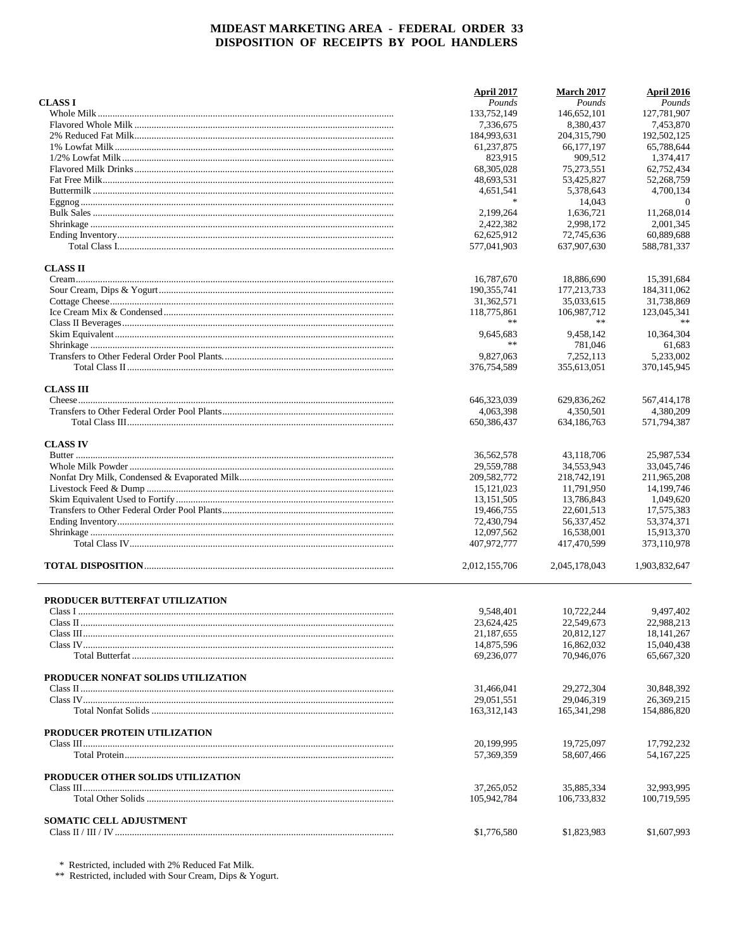|                                    | April 2017     | <b>March 2017</b> | April 2016    |
|------------------------------------|----------------|-------------------|---------------|
| <b>CLASS I</b>                     | Pounds         | Pounds            | Pounds        |
|                                    | 133,752,149    | 146,652,101       | 127,781,907   |
|                                    | 7,336,675      | 8,380,437         | 7,453,870     |
|                                    | 184,993,631    | 204, 315, 790     | 192,502,125   |
|                                    | 61,237,875     | 66, 177, 197      | 65,788,644    |
|                                    | 823,915        | 909,512           | 1,374,417     |
|                                    | 68, 305, 028   | 75,273,551        | 62,752,434    |
|                                    | 48,693,531     | 53,425,827        | 52,268,759    |
|                                    | 4,651,541      | 5,378,643         | 4,700,134     |
|                                    | $\frac{1}{20}$ | 14,043            | $\Omega$      |
|                                    | 2,199,264      | 1.636.721         | 11,268,014    |
|                                    | 2,422,382      | 2,998,172         | 2,001,345     |
|                                    | 62,625,912     | 72,745,636        | 60,889,688    |
|                                    | 577,041,903    | 637,907,630       | 588,781,337   |
| <b>CLASS II</b>                    |                |                   |               |
|                                    | 16,787,670     | 18,886,690        | 15,391,684    |
|                                    | 190, 355, 741  | 177, 213, 733     | 184,311,062   |
|                                    | 31,362,571     | 35,033,615        | 31,738,869    |
|                                    | 118,775,861    | 106,987,712       | 123,045,341   |
|                                    | **             | **                |               |
|                                    | 9.645.683      | 9,458,142         | 10,364,304    |
|                                    | **             | 781,046           | 61,683        |
|                                    | 9,827,063      | 7,252,113         | 5,233,002     |
|                                    | 376,754,589    | 355,613,051       | 370,145,945   |
| <b>CLASS III</b>                   |                |                   |               |
|                                    | 646,323,039    | 629,836,262       | 567,414,178   |
|                                    | 4.063.398      | 4,350,501         | 4,380,209     |
|                                    | 650,386,437    | 634,186,763       | 571,794,387   |
| <b>CLASS IV</b>                    |                |                   |               |
|                                    | 36,562,578     | 43,118,706        | 25,987,534    |
|                                    | 29,559,788     | 34,553,943        | 33,045,746    |
|                                    | 209,582,772    | 218,742,191       | 211,965,208   |
|                                    | 15, 121, 023   | 11,791,950        | 14, 199, 746  |
|                                    | 13, 151, 505   | 13,786,843        | 1,049,620     |
|                                    | 19,466,755     | 22,601,513        | 17,575,383    |
|                                    | 72,430,794     | 56,337,452        | 53,374,371    |
|                                    | 12,097,562     | 16,538,001        | 15,913,370    |
|                                    | 407,972,777    | 417,470,599       | 373,110,978   |
|                                    | 2,012,155,706  | 2,045,178,043     | 1,903,832,647 |
|                                    |                |                   |               |
| PRODUCER BUTTERFAT UTILIZATION     |                |                   |               |
|                                    | 9,548,401      | 10,722,244        | 9,497,402     |
|                                    | 23,624,425     | 22,549,673        | 22,988,213    |
|                                    | 21,187,655     | 20,812,127        | 18, 141, 267  |
|                                    | 14,875,596     | 16,862,032        | 15,040,438    |
|                                    | 69,236,077     | 70,946,076        | 65,667,320    |
| PRODUCER NONFAT SOLIDS UTILIZATION |                |                   |               |
|                                    | 31,466,041     | 29.272.304        | 30,848,392    |
|                                    | 29,051,551     | 29.046.319        | 26,369,215    |
|                                    | 163,312,143    | 165, 341, 298     | 154,886,820   |
| PRODUCER PROTEIN UTILIZATION       |                |                   |               |
|                                    | 20.199.995     | 19,725,097        | 17,792,232    |
|                                    | 57,369,359     | 58,607,466        | 54, 167, 225  |
| PRODUCER OTHER SOLIDS UTILIZATION  |                |                   |               |
|                                    | 37,265,052     | 35,885,334        | 32,993,995    |
|                                    | 105,942,784    | 106,733,832       | 100,719,595   |
| <b>SOMATIC CELL ADJUSTMENT</b>     |                |                   |               |
|                                    | \$1,776,580    | \$1,823,983       | \$1,607,993   |

 $\,^*$  Restricted, included with 2% Reduced Fat Milk.<br>  $\,^*$  Restricted, included with Sour Cream, Dips & Yogurt.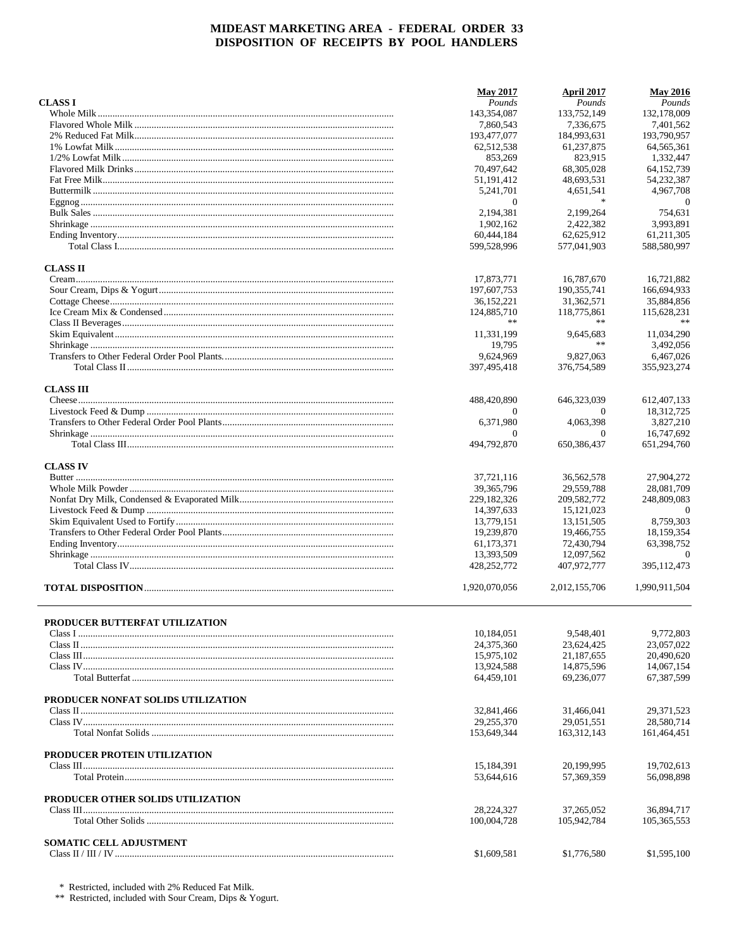|                                    | <b>May 2017</b> | April 2017    | <b>May 2016</b> |
|------------------------------------|-----------------|---------------|-----------------|
| <b>CLASS I</b>                     | Pounds          | Pounds        | Pounds          |
|                                    | 143,354,087     | 133,752,149   | 132,178,009     |
|                                    | 7,860,543       | 7.336.675     | 7,401,562       |
|                                    | 193,477,077     | 184,993,631   | 193,790,957     |
|                                    | 62.512.538      | 61,237,875    | 64, 565, 361    |
|                                    | 853,269         | 823,915       | 1,332,447       |
|                                    | 70,497,642      | 68, 305, 028  | 64,152,739      |
|                                    | 51,191,412      | 48,693,531    | 54,232,387      |
|                                    | 5,241,701       | 4,651,541     | 4,967,708       |
|                                    | $\mathbf{0}$    | $\star$       | $\Omega$        |
|                                    | 2.194.381       | 2,199,264     | 754,631         |
|                                    | 1,902,162       | 2,422,382     | 3,993,891       |
|                                    | 60,444,184      | 62,625,912    | 61,211,305      |
|                                    | 599,528,996     | 577,041,903   | 588,580,997     |
| <b>CLASS II</b>                    |                 |               |                 |
|                                    | 17,873,771      | 16,787,670    | 16,721,882      |
|                                    | 197,607,753     | 190, 355, 741 | 166,694,933     |
|                                    | 36,152,221      | 31,362,571    | 35,884,856      |
|                                    | 124,885,710     | 118,775,861   | 115,628,231     |
|                                    | **              | **            |                 |
|                                    | 11,331,199      | 9,645,683     | 11,034,290      |
|                                    |                 | **            |                 |
|                                    | 19.795          |               | 3,492,056       |
|                                    | 9,624,969       | 9,827,063     | 6.467.026       |
|                                    | 397,495,418     | 376.754.589   | 355,923,274     |
| <b>CLASS III</b>                   |                 |               |                 |
|                                    | 488,420,890     | 646,323,039   | 612,407,133     |
|                                    | $\mathbf{0}$    | $\theta$      | 18,312,725      |
|                                    | 6,371,980       | 4,063,398     | 3,827,210       |
|                                    | $\Omega$        | $\theta$      | 16,747,692      |
|                                    | 494,792,870     | 650,386,437   | 651,294,760     |
| <b>CLASS IV</b>                    |                 |               |                 |
|                                    | 37,721,116      | 36,562,578    | 27,904,272      |
|                                    | 39, 365, 796    | 29,559,788    | 28,081,709      |
|                                    | 229, 182, 326   | 209,582,772   | 248,809,083     |
|                                    | 14,397,633      | 15, 121, 023  | $\Omega$        |
|                                    | 13,779,151      | 13, 151, 505  | 8,759,303       |
|                                    | 19,239,870      | 19,466,755    | 18,159,354      |
|                                    | 61,173,371      | 72,430,794    | 63,398,752      |
|                                    | 13,393,509      | 12,097,562    | $\Omega$        |
|                                    | 428,252,772     | 407,972,777   | 395,112,473     |
|                                    | 1,920,070,056   | 2.012.155.706 | 1,990,911,504   |
|                                    |                 |               |                 |
|                                    |                 |               |                 |
| PRODUCER BUTTERFAT UTILIZATION     | 10,184,051      | 9,548,401     | 9,772,803       |
|                                    |                 |               |                 |
|                                    | 24,375,360      | 23,624,425    | 23,057,022      |
|                                    | 15,975,102      | 21.187.655    | 20,490,620      |
|                                    | 13,924,588      | 14,875,596    | 14,067,154      |
|                                    | 64,459,101      | 69,236,077    | 67,387,599      |
| PRODUCER NONFAT SOLIDS UTILIZATION |                 |               |                 |
|                                    | 32,841,466      | 31,466,041    | 29,371,523      |
|                                    | 29.255.370      | 29,051,551    | 28,580,714      |
|                                    | 153,649,344     | 163, 312, 143 | 161,464,451     |
| PRODUCER PROTEIN UTILIZATION       |                 |               |                 |
|                                    | 15,184,391      | 20,199,995    | 19,702,613      |
|                                    | 53,644,616      | 57,369,359    | 56,098,898      |
| PRODUCER OTHER SOLIDS UTILIZATION  |                 |               |                 |
|                                    | 28,224,327      | 37,265,052    | 36,894,717      |
|                                    | 100,004,728     | 105,942,784   | 105, 365, 553   |
| <b>SOMATIC CELL ADJUSTMENT</b>     |                 |               |                 |
|                                    | \$1,609,581     | \$1,776,580   | \$1,595,100     |
|                                    |                 |               |                 |

 $\,^*$  Restricted, included with 2% Reduced Fat Milk.<br>  $\,^*$  Restricted, included with Sour Cream, Dips & Yogurt.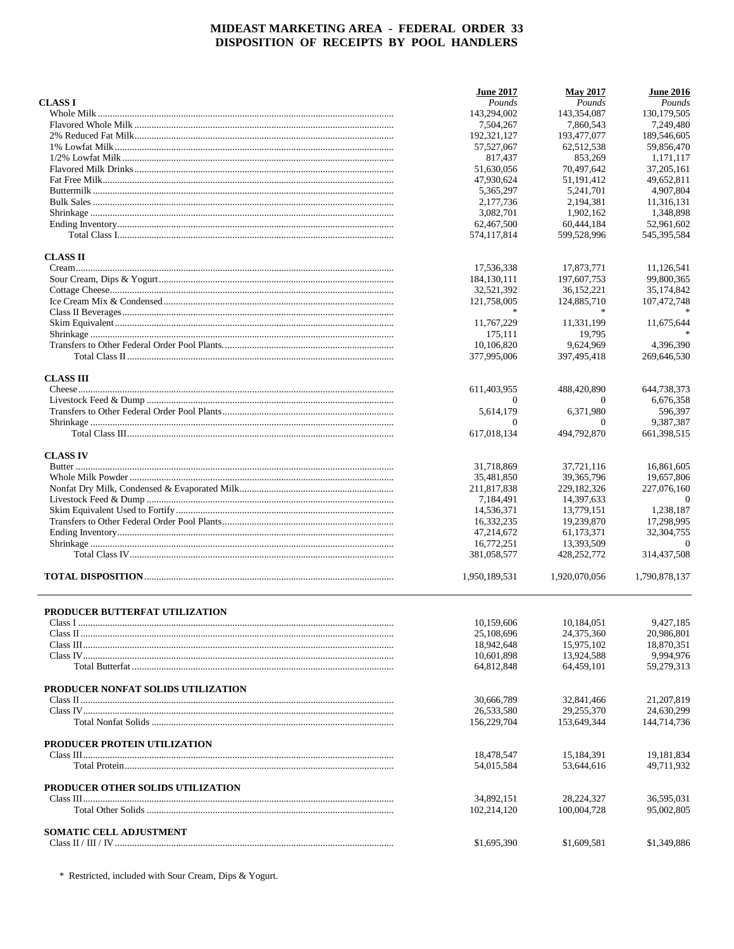|                                     | <b>June 2017</b> | <b>May 2017</b> | <b>June 2016</b> |
|-------------------------------------|------------------|-----------------|------------------|
| <b>CLASS I</b>                      | Pounds           | Pounds          | Pounds           |
|                                     | 143,294,002      | 143,354,087     | 130,179,505      |
|                                     | 7,504,267        | 7.860.543       | 7,249,480        |
|                                     | 192,321,127      | 193,477,077     | 189,546,605      |
|                                     | 57,527,067       | 62,512,538      | 59,856,470       |
|                                     | 817,437          | 853,269         | 1,171,117        |
|                                     | 51,630,056       | 70,497,642      | 37, 205, 161     |
|                                     | 47,930,624       | 51,191,412      | 49,652,811       |
|                                     | 5,365,297        | 5,241,701       | 4,907,804        |
|                                     | 2.177.736        | 2,194,381       | 11,316,131       |
|                                     | 3,082,701        | 1,902,162       | 1,348,898        |
|                                     | 62,467,500       | 60,444,184      | 52,961,602       |
|                                     | 574,117,814      | 599,528,996     | 545,395,584      |
| <b>CLASS II</b>                     |                  |                 |                  |
|                                     | 17,536,338       | 17,873,771      | 11,126,541       |
|                                     | 184,130,111      | 197,607,753     | 99,800,365       |
|                                     | 32,521,392       | 36, 152, 221    | 35,174,842       |
|                                     | 121,758,005      | 124,885,710     | 107,472,748      |
|                                     |                  |                 |                  |
|                                     | 11,767,229       | 11,331,199      | 11,675,644       |
|                                     | 175,111          | 19,795          |                  |
|                                     | 10,106,820       | 9,624,969       | 4,396,390        |
|                                     | 377,995,006      | 397.495.418     | 269,646,530      |
| <b>CLASS III</b>                    |                  |                 |                  |
|                                     | 611,403,955      | 488,420,890     | 644,738,373      |
|                                     | 0                | $\theta$        | 6,676,358        |
|                                     | 5,614,179        | 6,371,980       | 596,397          |
|                                     | $^{(1)}$         | $\theta$        | 9,387,387        |
|                                     | 617,018,134      | 494,792,870     | 661,398,515      |
| <b>CLASS IV</b>                     |                  |                 |                  |
|                                     | 31,718,869       | 37,721,116      | 16,861,605       |
|                                     | 35,481,850       | 39, 365, 796    | 19,657,806       |
|                                     | 211,817,838      | 229, 182, 326   | 227,076,160      |
|                                     | 7,184,491        | 14,397,633      | $\theta$         |
|                                     | 14,536,371       | 13,779,151      | 1,238,187        |
|                                     | 16,332,235       | 19,239,870      | 17,298,995       |
|                                     | 47,214,672       | 61,173,371      | 32,304,755       |
|                                     | 16,772,251       | 13,393,509      | $\Omega$         |
|                                     | 381,058,577      | 428, 252, 772   | 314,437,508      |
|                                     | 1,950,189,531    | 1.920.070.056   | 1,790,878,137    |
|                                     |                  |                 |                  |
| PRODUCER BUTTERFAT UTILIZATION      | 10,159,606       | 10,184,051      | 9,427,185        |
|                                     | 25,108,696       | 24,375,360      | 20,986,801       |
|                                     | 18,942,648       | 15,975,102      | 18,870,351       |
|                                     | 10,601,898       | 13,924,588      | 9,994,976        |
|                                     | 64,812,848       | 64,459,101      | 59,279,313       |
|                                     |                  |                 |                  |
| PRODUCER NONFAT SOLIDS UTILIZATION  | 30,666,789       | 32,841,466      | 21,207,819       |
|                                     | 26,533,580       | 29,255,370      | 24,630,299       |
|                                     | 156,229,704      | 153,649,344     | 144,714,736      |
|                                     |                  |                 |                  |
| <b>PRODUCER PROTEIN UTILIZATION</b> | 18,478,547       | 15,184,391      | 19,181,834       |
|                                     | 54,015,584       | 53,644,616      | 49,711,932       |
|                                     |                  |                 |                  |
| PRODUCER OTHER SOLIDS UTILIZATION   |                  |                 |                  |
|                                     | 34,892,151       | 28,224,327      | 36,595,031       |
|                                     | 102,214,120      | 100,004,728     | 95,002,805       |
| <b>SOMATIC CELL ADJUSTMENT</b>      |                  |                 |                  |
|                                     | \$1,695,390      | \$1,609,581     | \$1,349,886      |
|                                     |                  |                 |                  |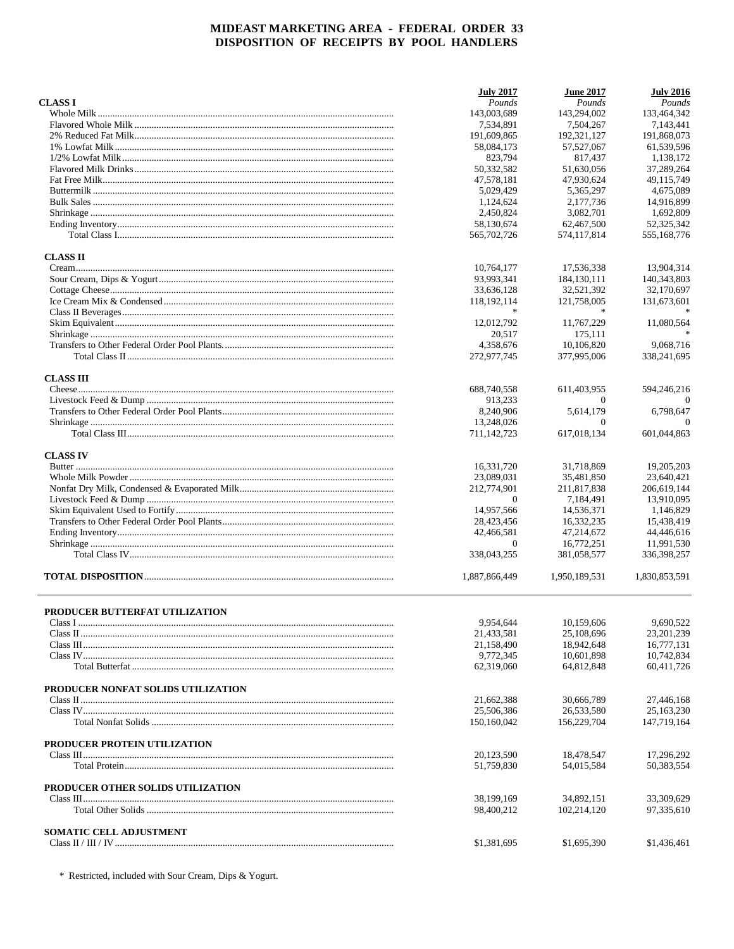|                                    | <b>July 2017</b>          | <b>June 2017</b>          | <b>July 2016</b>            |
|------------------------------------|---------------------------|---------------------------|-----------------------------|
| <b>CLASSI</b>                      | Pounds                    | Pounds                    | Pounds                      |
|                                    | 143,003,689               | 143,294,002               | 133,464,342                 |
|                                    | 7,534,891                 | 7.504.267                 | 7.143.441                   |
|                                    | 191,609,865               | 192,321,127               | 191,868,073                 |
|                                    | 58,084,173                | 57,527,067                | 61,539,596                  |
|                                    | 823,794                   | 817,437                   | 1,138,172                   |
|                                    | 50,332,582                | 51,630,056                | 37,289,264                  |
|                                    | 47,578,181                | 47,930,624                | 49,115,749                  |
|                                    | 5,029,429                 | 5,365,297                 | 4,675,089                   |
|                                    | 1,124,624                 | 2,177,736                 | 14.916.899                  |
|                                    | 2,450,824                 | 3,082,701                 | 1,692,809                   |
|                                    | 58,130,674<br>565,702,726 | 62,467,500<br>574,117,814 | 52,325,342<br>555,168,776   |
| <b>CLASS II</b>                    |                           |                           |                             |
|                                    | 10,764,177                | 17,536,338                | 13,904,314                  |
|                                    | 93,993,341                | 184, 130, 111             | 140,343,803                 |
|                                    | 33,636,128                | 32,521,392                | 32,170,697                  |
|                                    | 118,192,114               | 121,758,005               | 131,673,601                 |
|                                    |                           |                           |                             |
|                                    | 12,012,792                | 11,767,229                | 11,080,564<br>$\mathcal{R}$ |
|                                    | 20,517                    | 175,111                   |                             |
|                                    | 4,358,676                 | 10.106.820                | 9,068,716                   |
|                                    | 272,977,745               | 377,995,006               | 338,241,695                 |
| <b>CLASS III</b>                   |                           |                           |                             |
|                                    | 688,740,558               | 611,403,955               | 594,246,216                 |
|                                    | 913,233                   | $\Omega$                  | $\Omega$                    |
|                                    | 8,240,906<br>13,248,026   | 5,614,179<br>$\theta$     | 6,798,647<br>$\Omega$       |
|                                    | 711,142,723               | 617,018,134               | 601,044,863                 |
| <b>CLASS IV</b>                    |                           |                           |                             |
|                                    | 16,331,720                | 31,718,869                | 19,205,203                  |
|                                    | 23,089,031                | 35,481,850                | 23,640,421                  |
|                                    | 212,774,901               | 211,817,838               | 206,619,144                 |
|                                    | $\mathbf{0}$              | 7,184,491                 | 13,910,095                  |
|                                    | 14,957,566                | 14,536,371                | 1,146,829                   |
|                                    | 28,423,456                | 16,332,235                | 15,438,419                  |
|                                    | 42,466,581                | 47,214,672                | 44,446,616                  |
|                                    | $\mathbf{0}$              | 16,772,251                | 11,991,530                  |
|                                    | 338,043,255               | 381,058,577               | 336,398,257                 |
|                                    | 1,887,866,449             | 1,950,189,531             | 1.830.853.591               |
| PRODUCER BUTTERFAT UTILIZATION     |                           |                           |                             |
|                                    | 9,954,644                 | 10,159,606                | 9,690,522                   |
|                                    | 21,433,581                | 25,108,696                | 23, 201, 239                |
|                                    | 21,158,490                | 18,942,648                | 16,777,131                  |
|                                    | 9,772,345                 | 10,601,898                | 10,742,834                  |
|                                    | 62,319,060                | 64,812,848                | 60,411,726                  |
| PRODUCER NONFAT SOLIDS UTILIZATION |                           |                           |                             |
|                                    | 21,662,388                | 30,666,789                | 27,446,168                  |
|                                    | 25,506,386                | 26,533,580                | 25,163,230                  |
|                                    | 150,160,042               | 156,229,704               | 147,719,164                 |
| PRODUCER PROTEIN UTILIZATION       |                           |                           |                             |
|                                    | 20,123,590                | 18,478,547                | 17,296,292                  |
|                                    | 51,759,830                | 54,015,584                | 50,383,554                  |
| PRODUCER OTHER SOLIDS UTILIZATION  |                           |                           |                             |
|                                    | 38,199,169                | 34,892,151                | 33,309,629                  |
|                                    | 98,400,212                | 102,214,120               | 97,335,610                  |
| SOMATIC CELL ADJUSTMENT            |                           |                           |                             |
|                                    | \$1,381,695               | \$1,695,390               | \$1,436,461                 |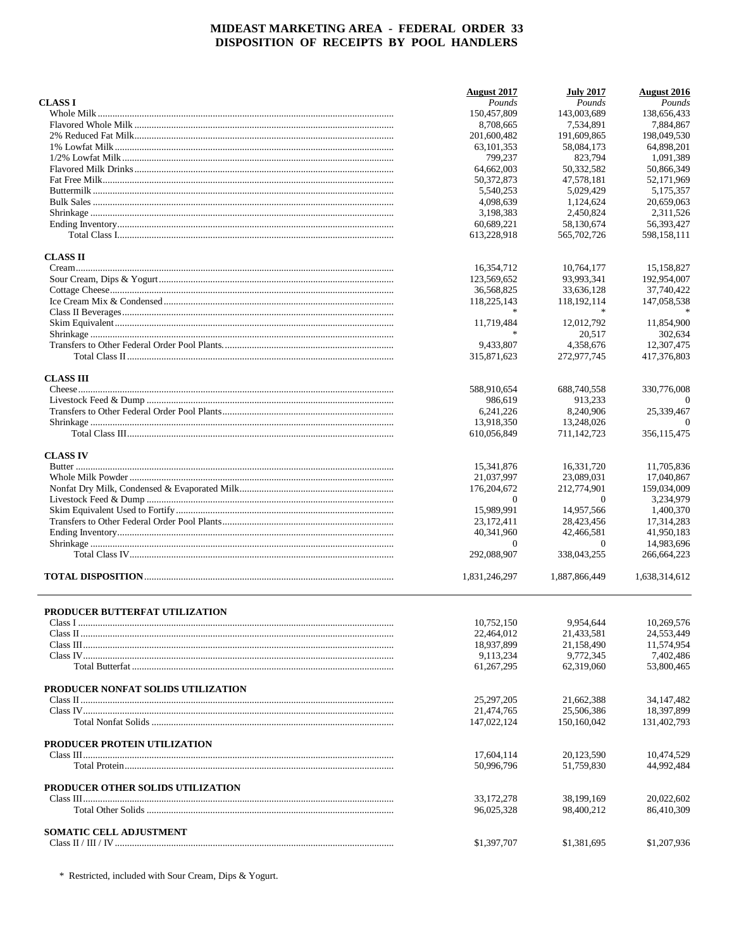|                                    | <b>August</b> 2017         | <b>July 2017</b>         | August 2016              |
|------------------------------------|----------------------------|--------------------------|--------------------------|
| <b>CLASS I</b>                     | Pounds                     | Pounds                   | Pounds                   |
|                                    | 150,457,809                | 143,003,689              | 138,656,433              |
|                                    | 8,708,665                  | 7,534,891                | 7,884,867                |
|                                    | 201,600,482                | 191,609,865              | 198,049,530              |
|                                    | 63, 101, 353               | 58,084,173               | 64,898,201               |
|                                    | 799,237                    | 823,794                  | 1,091,389                |
|                                    | 64,662,003                 | 50,332,582               | 50,866,349               |
|                                    | 50,372,873                 | 47,578,181               | 52,171,969               |
|                                    | 5,540,253                  | 5,029,429                | 5,175,357                |
|                                    | 4,098,639<br>3,198,383     | 1,124,624<br>2.450.824   | 20,659,063<br>2,311,526  |
|                                    | 60,689,221                 | 58,130,674               | 56,393,427               |
|                                    | 613,228,918                | 565,702,726              | 598,158,111              |
| <b>CLASS II</b>                    |                            |                          |                          |
|                                    | 16,354,712                 | 10,764,177               | 15,158,827               |
|                                    | 123,569,652                | 93,993,341               | 192,954,007              |
|                                    | 36,568,825                 | 33,636,128               | 37,740,422               |
|                                    | 118,225,143                | 118,192,114              | 147,058,538              |
|                                    |                            | $\ast$                   |                          |
|                                    | 11.719.484                 | 12,012,792               | 11,854,900               |
|                                    |                            | 20,517                   | 302,634                  |
|                                    | 9,433,807                  | 4,358,676                | 12,307,475               |
|                                    | 315,871,623                | 272,977,745              | 417,376,803              |
| <b>CLASS III</b>                   | 588,910,654                | 688,740,558              | 330,776,008              |
|                                    | 986.619                    | 913,233                  | $\Omega$                 |
|                                    | 6,241,226                  | 8,240,906                | 25,339,467               |
|                                    | 13,918,350                 | 13,248,026               | 0                        |
|                                    | 610,056,849                | 711, 142, 723            | 356,115,475              |
| <b>CLASS IV</b>                    |                            |                          |                          |
|                                    | 15,341,876                 | 16,331,720               | 11,705,836               |
|                                    | 21,037,997                 | 23,089,031               | 17,040,867               |
|                                    | 176,204,672                | 212,774,901              | 159,034,009              |
|                                    | $\mathbf{0}$               | $\mathbf{0}$             | 3,234,979                |
|                                    | 15,989,991                 | 14,957,566               | 1,400,370                |
|                                    | 23,172,411                 | 28,423,456               | 17,314,283               |
|                                    | 40,341,960                 | 42,466,581               | 41,950,183               |
|                                    | $\Omega$                   | $\mathbf{0}$             | 14,983,696               |
|                                    | 292,088,907                | 338,043,255              | 266,664,223              |
|                                    | 1,831,246,297              | 1,887,866,449            | 1,638,314,612            |
| PRODUCER BUTTERFAT UTILIZATION     |                            |                          |                          |
|                                    | 10,752,150                 | 9,954,644                | 10,269,576               |
|                                    | 22,464,012                 | 21,433,581               | 24,553,449               |
|                                    | 18,937,899                 | 21,158,490               | 11,574,954               |
|                                    | 9,113,234                  | 9,772,345                | 7.402.486                |
|                                    | 61,267,295                 | 62,319,060               | 53,800,465               |
| PRODUCER NONFAT SOLIDS UTILIZATION |                            |                          |                          |
|                                    | 25, 297, 205               | 21,662,388               | 34, 147, 482             |
|                                    | 21,474,765                 | 25,506,386               | 18,397,899               |
|                                    | 147,022,124                | 150,160,042              | 131,402,793              |
| PRODUCER PROTEIN UTILIZATION       |                            |                          |                          |
|                                    | 17.604.114                 | 20,123,590               | 10.474.529               |
|                                    | 50,996,796                 | 51,759,830               | 44.992.484               |
| PRODUCER OTHER SOLIDS UTILIZATION  |                            |                          |                          |
|                                    | 33, 172, 278<br>96,025,328 | 38,199,169<br>98,400,212 | 20,022,602<br>86,410,309 |
|                                    |                            |                          |                          |
| <b>SOMATIC CELL ADJUSTMENT</b>     | \$1,397,707                | \$1,381,695              | \$1,207,936              |
|                                    |                            |                          |                          |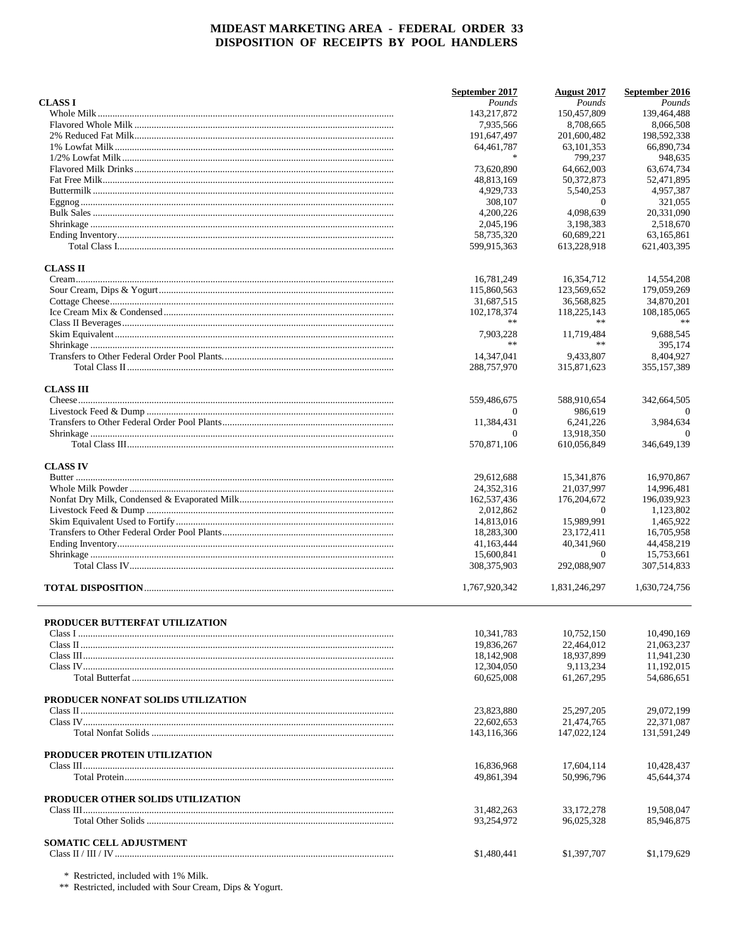|                                    | September 2017 | <b>August</b> 2017 | September 2016 |
|------------------------------------|----------------|--------------------|----------------|
| <b>CLASS I</b>                     | Pounds         | Pounds             | Pounds         |
|                                    | 143,217,872    | 150,457,809        | 139,464,488    |
|                                    | 7,935,566      | 8,708,665          | 8,066,508      |
|                                    | 191,647,497    | 201,600,482        | 198,592,338    |
|                                    | 64,461,787     | 63, 101, 353       | 66,890,734     |
|                                    |                | 799,237            | 948,635        |
|                                    | 73,620,890     | 64,662,003         | 63, 674, 734   |
|                                    | 48,813,169     | 50,372,873         | 52,471,895     |
|                                    | 4,929,733      | 5,540,253          | 4,957,387      |
|                                    | 308,107        | $\theta$           | 321,055        |
|                                    | 4,200,226      | 4,098,639          | 20.331.090     |
|                                    |                |                    |                |
|                                    | 2,045,196      | 3,198,383          | 2,518,670      |
|                                    | 58,735,320     | 60,689,221         | 63,165,861     |
|                                    | 599,915,363    | 613,228,918        | 621,403,395    |
| <b>CLASS II</b>                    |                |                    |                |
|                                    | 16,781,249     | 16,354,712         | 14,554,208     |
|                                    | 115,860,563    | 123,569,652        | 179,059,269    |
|                                    | 31,687,515     | 36,568,825         | 34,870,201     |
|                                    | 102,178,374    | 118,225,143        | 108,185,065    |
|                                    | **             | **                 |                |
|                                    | 7,903,228      |                    | 9,688,545      |
|                                    | $**$           | 11,719,484<br>**   |                |
|                                    |                |                    | 395,174        |
|                                    | 14.347.041     | 9,433,807          | 8,404,927      |
|                                    | 288,757,970    | 315,871,623        | 355, 157, 389  |
| <b>CLASS III</b>                   |                |                    |                |
|                                    | 559,486,675    | 588,910,654        | 342,664,505    |
|                                    | 0              | 986,619            | $\Omega$       |
|                                    | 11,384,431     | 6, 241, 226        | 3,984,634      |
|                                    | $\Omega$       | 13,918,350         | $\Omega$       |
|                                    | 570,871,106    | 610,056,849        | 346,649,139    |
|                                    |                |                    |                |
| <b>CLASS IV</b>                    |                |                    |                |
|                                    | 29,612,688     | 15,341,876         | 16,970,867     |
|                                    | 24,352,316     | 21,037,997         | 14,996,481     |
|                                    | 162,537,436    | 176,204,672        | 196,039,923    |
|                                    | 2,012,862      | $\theta$           | 1,123,802      |
|                                    | 14,813,016     | 15,989,991         | 1,465,922      |
|                                    | 18,283,300     | 23, 172, 411       | 16,705,958     |
|                                    | 41,163,444     | 40,341,960         | 44,458,219     |
|                                    | 15,600,841     | $\theta$           | 15,753,661     |
|                                    | 308, 375, 903  | 292,088,907        | 307,514,833    |
|                                    |                |                    |                |
|                                    | 1,767,920,342  | 1,831,246,297      | 1,630,724,756  |
|                                    |                |                    |                |
| PRODUCER BUTTERFAT UTILIZATION     |                |                    |                |
|                                    | 10.341.783     | 10,752,150         | 10,490,169     |
|                                    | 19,836,267     | 22,464,012         | 21,063,237     |
|                                    | 18, 142, 908   | 18,937,899         | 11,941,230     |
|                                    | 12,304,050     | 9,113,234          | 11,192,015     |
|                                    | 60,625,008     | 61.267.295         | 54,686,651     |
|                                    |                |                    |                |
| PRODUCER NONFAT SOLIDS UTILIZATION |                |                    |                |
|                                    | 23,823,880     | 25,297,205         | 29,072,199     |
|                                    | 22,602,653     | 21,474,765         | 22,371,087     |
|                                    | 143,116,366    | 147,022,124        | 131,591,249    |
|                                    |                |                    |                |
| PRODUCER PROTEIN UTILIZATION       |                |                    |                |
|                                    | 16,836,968     | 17,604,114         | 10,428,437     |
|                                    | 49,861,394     | 50,996,796         | 45,644,374     |
| PRODUCER OTHER SOLIDS UTILIZATION  |                |                    |                |
|                                    | 31,482,263     | 33, 172, 278       | 19,508,047     |
|                                    | 93,254,972     | 96,025,328         | 85,946,875     |
|                                    |                |                    |                |
| <b>SOMATIC CELL ADJUSTMENT</b>     |                |                    |                |
|                                    | \$1,480,441    | \$1,397,707        | \$1,179,629    |
|                                    |                |                    |                |

\* Restricted, included with 1% Milk.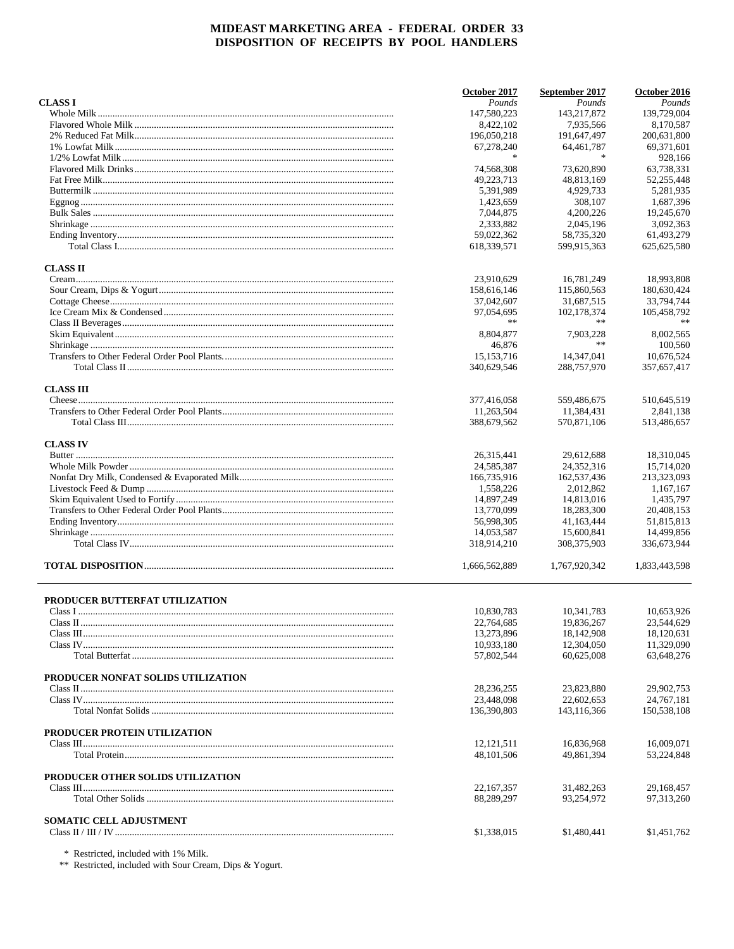|                                    | October 2017  | September 2017 | October 2016  |
|------------------------------------|---------------|----------------|---------------|
| <b>CLASS I</b>                     | Pounds        | Pounds         | Pounds        |
|                                    | 147,580,223   | 143,217,872    | 139,729,004   |
|                                    | 8,422,102     | 7,935,566      | 8,170,587     |
|                                    | 196,050,218   | 191,647,497    | 200,631,800   |
|                                    | 67,278,240    | 64,461,787     | 69,371,601    |
|                                    |               |                | 928.166       |
|                                    | 74,568,308    | 73,620,890     | 63,738,331    |
|                                    | 49,223,713    | 48,813,169     | 52,255,448    |
|                                    | 5,391,989     | 4,929,733      | 5,281,935     |
|                                    | 1,423,659     | 308,107        | 1,687,396     |
|                                    | 7,044,875     | 4,200,226      | 19,245,670    |
|                                    | 2,333,882     | 2,045,196      | 3,092,363     |
|                                    | 59,022,362    | 58,735,320     | 61,493,279    |
|                                    | 618,339,571   | 599,915,363    | 625,625,580   |
| <b>CLASS II</b>                    |               |                |               |
|                                    | 23,910,629    | 16,781,249     | 18,993,808    |
|                                    | 158,616,146   | 115,860,563    | 180,630,424   |
|                                    | 37,042,607    | 31,687,515     | 33,794,744    |
|                                    | 97,054,695    | 102,178,374    | 105,458,792   |
|                                    | **            | **             |               |
|                                    | 8,804,877     | 7,903,228      | 8,002,565     |
|                                    | 46,876        | $\ast\ast$     | 100,560       |
|                                    | 15, 153, 716  | 14,347,041     | 10,676,524    |
|                                    | 340,629,546   | 288,757,970    | 357,657,417   |
| <b>CLASS III</b>                   |               |                |               |
|                                    | 377,416,058   | 559,486,675    | 510,645,519   |
|                                    | 11,263,504    | 11,384,431     | 2,841,138     |
|                                    | 388,679,562   | 570,871,106    | 513,486,657   |
| <b>CLASS IV</b>                    |               |                |               |
|                                    | 26,315,441    | 29,612,688     | 18,310,045    |
|                                    | 24,585,387    | 24,352,316     | 15,714,020    |
|                                    | 166,735,916   | 162,537,436    | 213,323,093   |
|                                    | 1,558,226     | 2,012,862      | 1,167,167     |
|                                    | 14,897,249    | 14,813,016     | 1,435,797     |
|                                    | 13,770,099    | 18,283,300     | 20,408,153    |
|                                    | 56,998,305    | 41,163,444     | 51,815,813    |
|                                    | 14,053,587    | 15,600,841     | 14,499,856    |
|                                    | 318,914,210   | 308, 375, 903  | 336,673,944   |
|                                    | 1,666,562,889 | 1,767,920,342  | 1,833,443,598 |
| PRODUCER BUTTERFAT UTILIZATION     |               |                |               |
|                                    | 10,830,783    | 10,341,783     | 10.653.926    |
|                                    | 22,764,685    | 19,836,267     | 23,544,629    |
|                                    | 13,273,896    | 18,142,908     | 18,120,631    |
|                                    | 10,933,180    | 12,304,050     | 11,329,090    |
|                                    | 57,802,544    | 60,625,008     | 63,648,276    |
| PRODUCER NONFAT SOLIDS UTILIZATION |               |                |               |
|                                    | 28,236,255    | 23,823,880     | 29,902,753    |
|                                    | 23,448,098    | 22,602,653     | 24,767,181    |
|                                    | 136,390,803   | 143,116,366    | 150,538,108   |
| PRODUCER PROTEIN UTILIZATION       |               |                |               |
|                                    | 12, 121, 511  | 16,836,968     | 16,009,071    |
|                                    | 48, 101, 506  | 49,861,394     | 53,224,848    |
| PRODUCER OTHER SOLIDS UTILIZATION  |               |                |               |
|                                    | 22, 167, 357  | 31,482,263     | 29,168,457    |
|                                    | 88,289,297    | 93,254,972     | 97, 313, 260  |
| <b>SOMATIC CELL ADJUSTMENT</b>     |               |                |               |
|                                    | \$1,338,015   | \$1,480,441    | \$1,451,762   |
|                                    |               |                |               |

 $\,^*$  Restricted, included with 1% Milk. <br> \*\* Restricted, included with Sour Cream, Dips & Yogurt.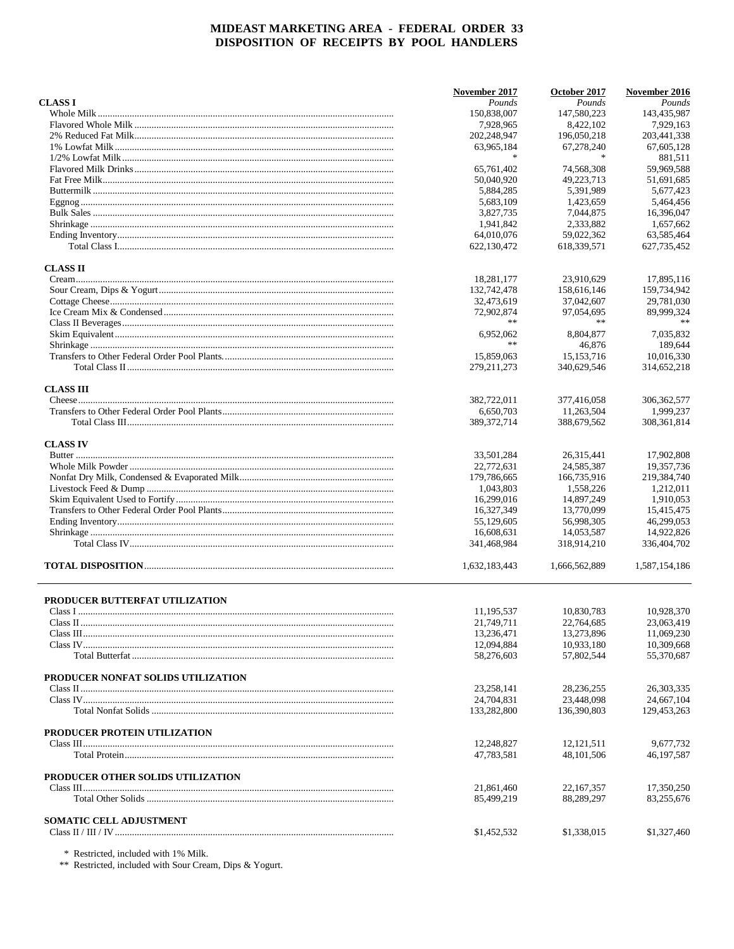|                                    | November 2017 | October 2017  | November 2016 |
|------------------------------------|---------------|---------------|---------------|
| <b>CLASS I</b>                     | Pounds        | Pounds        | Pounds        |
|                                    | 150,838,007   | 147,580,223   | 143,435,987   |
|                                    | 7,928,965     | 8.422.102     | 7,929,163     |
|                                    | 202,248,947   | 196,050,218   | 203,441,338   |
|                                    | 63,965,184    | 67,278,240    | 67,605,128    |
|                                    | 宋             | $\ast$        | 881,511       |
|                                    | 65,761,402    | 74,568,308    | 59,969,588    |
|                                    | 50,040,920    | 49,223,713    | 51,691,685    |
|                                    | 5,884,285     | 5,391,989     | 5,677,423     |
|                                    | 5,683,109     | 1.423.659     | 5,464,456     |
|                                    | 3,827,735     | 7,044,875     | 16,396,047    |
|                                    | 1,941,842     | 2,333,882     | 1,657,662     |
|                                    | 64,010,076    | 59,022,362    | 63,585,464    |
|                                    | 622.130.472   | 618,339,571   | 627,735,452   |
| <b>CLASS II</b>                    |               |               |               |
|                                    | 18,281,177    | 23,910,629    | 17,895,116    |
|                                    | 132,742,478   | 158,616,146   | 159,734,942   |
|                                    | 32,473,619    | 37,042,607    | 29,781,030    |
|                                    | 72,902,874    | 97,054,695    | 89,999,324    |
|                                    | **            | **            |               |
|                                    | 6,952,062     | 8,804,877     | 7,035,832     |
|                                    | **            | 46,876        | 189,644       |
|                                    | 15,859,063    | 15, 153, 716  | 10,016,330    |
|                                    | 279, 211, 273 | 340,629,546   | 314,652,218   |
| <b>CLASS III</b>                   |               |               |               |
|                                    | 382,722,011   | 377,416,058   | 306, 362, 577 |
|                                    | 6,650,703     | 11,263,504    | 1,999,237     |
|                                    | 389, 372, 714 | 388,679,562   | 308, 361, 814 |
| <b>CLASS IV</b>                    |               |               |               |
|                                    | 33,501,284    | 26,315,441    | 17,902,808    |
|                                    | 22,772,631    | 24,585,387    | 19,357,736    |
|                                    | 179,786,665   | 166,735,916   | 219,384,740   |
|                                    | 1,043,803     | 1,558,226     | 1,212,011     |
|                                    | 16,299,016    | 14,897,249    | 1,910,053     |
|                                    | 16,327,349    | 13,770,099    | 15,415,475    |
|                                    | 55,129,605    | 56,998,305    | 46,299,053    |
|                                    | 16,608,631    | 14,053,587    | 14,922,826    |
|                                    | 341,468,984   | 318,914,210   | 336,404,702   |
|                                    | 1,632,183,443 | 1,666,562,889 | 1,587,154,186 |
| PRODUCER BUTTERFAT UTILIZATION     |               |               |               |
|                                    | 11,195,537    | 10,830,783    | 10,928,370    |
|                                    | 21,749,711    | 22,764,685    | 23,063,419    |
|                                    | 13,236,471    | 13,273,896    | 11,069,230    |
|                                    | 12,094,884    | 10,933,180    | 10,309,668    |
|                                    | 58,276,603    | 57,802,544    | 55,370,687    |
| PRODUCER NONFAT SOLIDS UTILIZATION |               |               |               |
|                                    | 23,258,141    | 28,236,255    | 26,303,335    |
|                                    | 24,704,831    | 23,448,098    | 24,667,104    |
|                                    | 133,282,800   | 136,390,803   | 129,453,263   |
| PRODUCER PROTEIN UTILIZATION       |               |               |               |
|                                    | 12,248,827    | 12, 121, 511  | 9,677,732     |
|                                    | 47,783,581    | 48, 101, 506  | 46, 197, 587  |
| PRODUCER OTHER SOLIDS UTILIZATION  |               |               |               |
|                                    | 21,861,460    | 22, 167, 357  | 17,350,250    |
|                                    | 85,499,219    | 88,289,297    | 83,255,676    |
| SOMATIC CELL ADJUSTMENT            |               |               |               |
|                                    | \$1,452,532   | \$1,338,015   | \$1,327,460   |

 $\,^*$  Restricted, included with 1% Milk. <br> \*\* Restricted, included with Sour Cream, Dips & Yogurt.